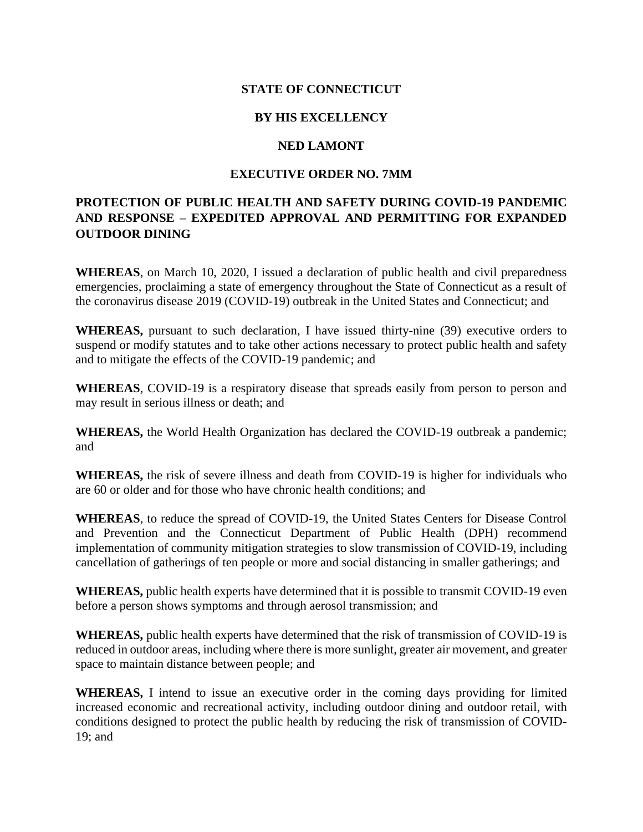## **STATE OF CONNECTICUT**

## **BY HIS EXCELLENCY**

#### **NED LAMONT**

### **EXECUTIVE ORDER NO. 7MM**

# **PROTECTION OF PUBLIC HEALTH AND SAFETY DURING COVID-19 PANDEMIC AND RESPONSE – EXPEDITED APPROVAL AND PERMITTING FOR EXPANDED OUTDOOR DINING**

**WHEREAS**, on March 10, 2020, I issued a declaration of public health and civil preparedness emergencies, proclaiming a state of emergency throughout the State of Connecticut as a result of the coronavirus disease 2019 (COVID-19) outbreak in the United States and Connecticut; and

**WHEREAS,** pursuant to such declaration, I have issued thirty-nine (39) executive orders to suspend or modify statutes and to take other actions necessary to protect public health and safety and to mitigate the effects of the COVID-19 pandemic; and

**WHEREAS**, COVID-19 is a respiratory disease that spreads easily from person to person and may result in serious illness or death; and

**WHEREAS,** the World Health Organization has declared the COVID-19 outbreak a pandemic; and

**WHEREAS,** the risk of severe illness and death from COVID-19 is higher for individuals who are 60 or older and for those who have chronic health conditions; and

**WHEREAS**, to reduce the spread of COVID-19, the United States Centers for Disease Control and Prevention and the Connecticut Department of Public Health (DPH) recommend implementation of community mitigation strategies to slow transmission of COVID-19, including cancellation of gatherings of ten people or more and social distancing in smaller gatherings; and

**WHEREAS,** public health experts have determined that it is possible to transmit COVID-19 even before a person shows symptoms and through aerosol transmission; and

**WHEREAS,** public health experts have determined that the risk of transmission of COVID-19 is reduced in outdoor areas, including where there is more sunlight, greater air movement, and greater space to maintain distance between people; and

**WHEREAS,** I intend to issue an executive order in the coming days providing for limited increased economic and recreational activity, including outdoor dining and outdoor retail, with conditions designed to protect the public health by reducing the risk of transmission of COVID-19; and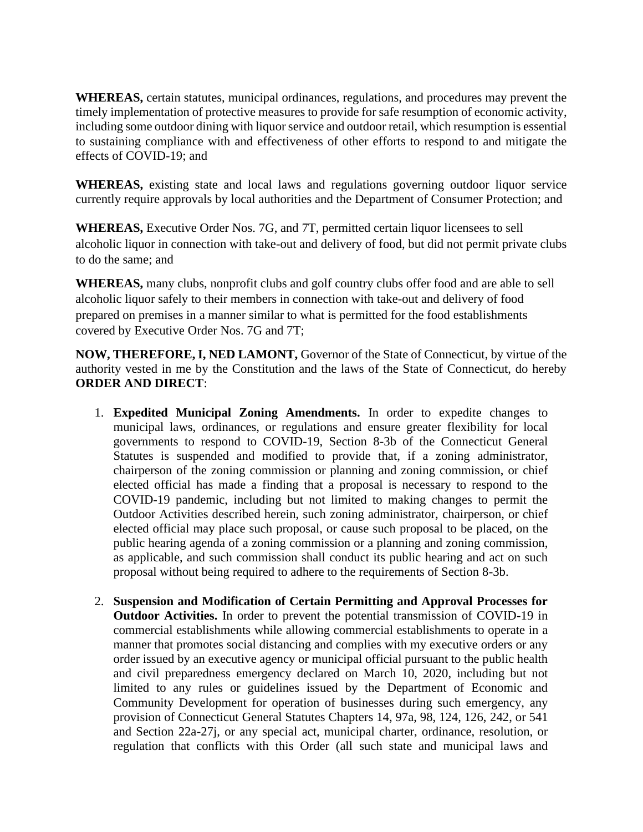**WHEREAS,** certain statutes, municipal ordinances, regulations, and procedures may prevent the timely implementation of protective measures to provide for safe resumption of economic activity, including some outdoor dining with liquor service and outdoor retail, which resumption is essential to sustaining compliance with and effectiveness of other efforts to respond to and mitigate the effects of COVID-19; and

**WHEREAS,** existing state and local laws and regulations governing outdoor liquor service currently require approvals by local authorities and the Department of Consumer Protection; and

**WHEREAS,** Executive Order Nos. 7G, and 7T, permitted certain liquor licensees to sell alcoholic liquor in connection with take-out and delivery of food, but did not permit private clubs to do the same; and

**WHEREAS,** many clubs, nonprofit clubs and golf country clubs offer food and are able to sell alcoholic liquor safely to their members in connection with take-out and delivery of food prepared on premises in a manner similar to what is permitted for the food establishments covered by Executive Order Nos. 7G and 7T;

**NOW, THEREFORE, I, NED LAMONT,** Governor of the State of Connecticut, by virtue of the authority vested in me by the Constitution and the laws of the State of Connecticut, do hereby **ORDER AND DIRECT**:

- 1. **Expedited Municipal Zoning Amendments.** In order to expedite changes to municipal laws, ordinances, or regulations and ensure greater flexibility for local governments to respond to COVID-19, Section 8-3b of the Connecticut General Statutes is suspended and modified to provide that, if a zoning administrator, chairperson of the zoning commission or planning and zoning commission, or chief elected official has made a finding that a proposal is necessary to respond to the COVID-19 pandemic, including but not limited to making changes to permit the Outdoor Activities described herein, such zoning administrator, chairperson, or chief elected official may place such proposal, or cause such proposal to be placed, on the public hearing agenda of a zoning commission or a planning and zoning commission, as applicable, and such commission shall conduct its public hearing and act on such proposal without being required to adhere to the requirements of Section 8-3b.
- 2. **Suspension and Modification of Certain Permitting and Approval Processes for Outdoor Activities.** In order to prevent the potential transmission of COVID-19 in commercial establishments while allowing commercial establishments to operate in a manner that promotes social distancing and complies with my executive orders or any order issued by an executive agency or municipal official pursuant to the public health and civil preparedness emergency declared on March 10, 2020, including but not limited to any rules or guidelines issued by the Department of Economic and Community Development for operation of businesses during such emergency, any provision of Connecticut General Statutes Chapters 14, 97a, 98, 124, 126, 242, or 541 and Section 22a-27j, or any special act, municipal charter, ordinance, resolution, or regulation that conflicts with this Order (all such state and municipal laws and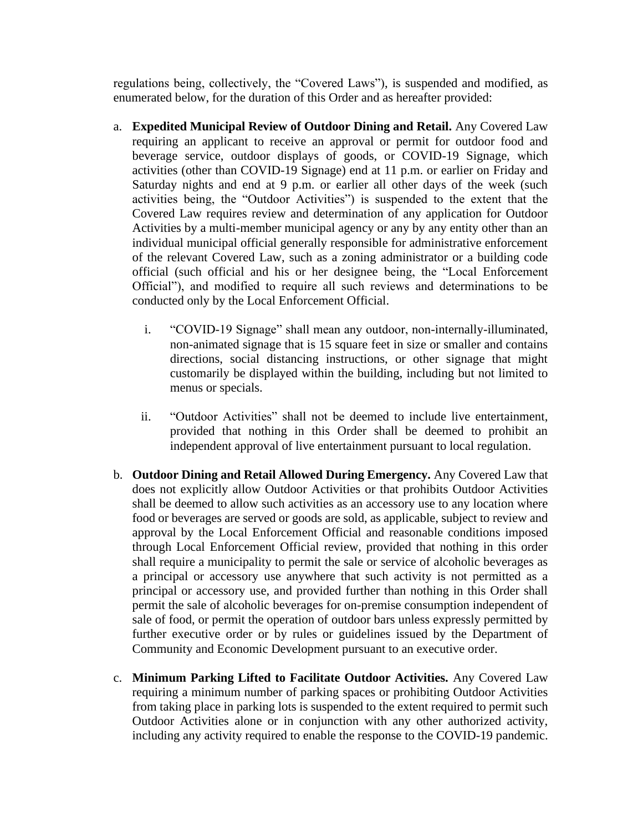regulations being, collectively, the "Covered Laws"), is suspended and modified, as enumerated below, for the duration of this Order and as hereafter provided:

- a. **Expedited Municipal Review of Outdoor Dining and Retail.** Any Covered Law requiring an applicant to receive an approval or permit for outdoor food and beverage service, outdoor displays of goods, or COVID-19 Signage, which activities (other than COVID-19 Signage) end at 11 p.m. or earlier on Friday and Saturday nights and end at 9 p.m. or earlier all other days of the week (such activities being, the "Outdoor Activities") is suspended to the extent that the Covered Law requires review and determination of any application for Outdoor Activities by a multi-member municipal agency or any by any entity other than an individual municipal official generally responsible for administrative enforcement of the relevant Covered Law, such as a zoning administrator or a building code official (such official and his or her designee being, the "Local Enforcement Official"), and modified to require all such reviews and determinations to be conducted only by the Local Enforcement Official.
	- i. "COVID-19 Signage" shall mean any outdoor, non-internally-illuminated, non-animated signage that is 15 square feet in size or smaller and contains directions, social distancing instructions, or other signage that might customarily be displayed within the building, including but not limited to menus or specials.
	- ii. "Outdoor Activities" shall not be deemed to include live entertainment, provided that nothing in this Order shall be deemed to prohibit an independent approval of live entertainment pursuant to local regulation.
- b. **Outdoor Dining and Retail Allowed During Emergency.** Any Covered Law that does not explicitly allow Outdoor Activities or that prohibits Outdoor Activities shall be deemed to allow such activities as an accessory use to any location where food or beverages are served or goods are sold, as applicable, subject to review and approval by the Local Enforcement Official and reasonable conditions imposed through Local Enforcement Official review, provided that nothing in this order shall require a municipality to permit the sale or service of alcoholic beverages as a principal or accessory use anywhere that such activity is not permitted as a principal or accessory use, and provided further than nothing in this Order shall permit the sale of alcoholic beverages for on-premise consumption independent of sale of food, or permit the operation of outdoor bars unless expressly permitted by further executive order or by rules or guidelines issued by the Department of Community and Economic Development pursuant to an executive order.
- c. **Minimum Parking Lifted to Facilitate Outdoor Activities.** Any Covered Law requiring a minimum number of parking spaces or prohibiting Outdoor Activities from taking place in parking lots is suspended to the extent required to permit such Outdoor Activities alone or in conjunction with any other authorized activity, including any activity required to enable the response to the COVID-19 pandemic.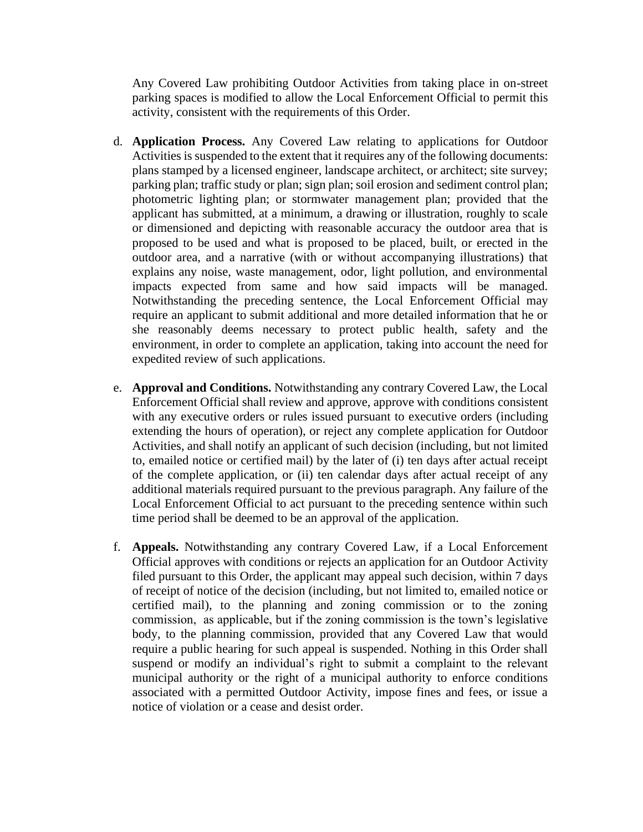Any Covered Law prohibiting Outdoor Activities from taking place in on-street parking spaces is modified to allow the Local Enforcement Official to permit this activity, consistent with the requirements of this Order.

- d. **Application Process.** Any Covered Law relating to applications for Outdoor Activities is suspended to the extent that it requires any of the following documents: plans stamped by a licensed engineer, landscape architect, or architect; site survey; parking plan; traffic study or plan; sign plan; soil erosion and sediment control plan; photometric lighting plan; or stormwater management plan; provided that the applicant has submitted, at a minimum, a drawing or illustration, roughly to scale or dimensioned and depicting with reasonable accuracy the outdoor area that is proposed to be used and what is proposed to be placed, built, or erected in the outdoor area, and a narrative (with or without accompanying illustrations) that explains any noise, waste management, odor, light pollution, and environmental impacts expected from same and how said impacts will be managed. Notwithstanding the preceding sentence, the Local Enforcement Official may require an applicant to submit additional and more detailed information that he or she reasonably deems necessary to protect public health, safety and the environment, in order to complete an application, taking into account the need for expedited review of such applications.
- e. **Approval and Conditions.** Notwithstanding any contrary Covered Law, the Local Enforcement Official shall review and approve, approve with conditions consistent with any executive orders or rules issued pursuant to executive orders (including extending the hours of operation), or reject any complete application for Outdoor Activities, and shall notify an applicant of such decision (including, but not limited to, emailed notice or certified mail) by the later of (i) ten days after actual receipt of the complete application, or (ii) ten calendar days after actual receipt of any additional materials required pursuant to the previous paragraph. Any failure of the Local Enforcement Official to act pursuant to the preceding sentence within such time period shall be deemed to be an approval of the application.
- f. **Appeals.** Notwithstanding any contrary Covered Law, if a Local Enforcement Official approves with conditions or rejects an application for an Outdoor Activity filed pursuant to this Order, the applicant may appeal such decision, within 7 days of receipt of notice of the decision (including, but not limited to, emailed notice or certified mail), to the planning and zoning commission or to the zoning commission, as applicable, but if the zoning commission is the town's legislative body, to the planning commission, provided that any Covered Law that would require a public hearing for such appeal is suspended. Nothing in this Order shall suspend or modify an individual's right to submit a complaint to the relevant municipal authority or the right of a municipal authority to enforce conditions associated with a permitted Outdoor Activity, impose fines and fees, or issue a notice of violation or a cease and desist order.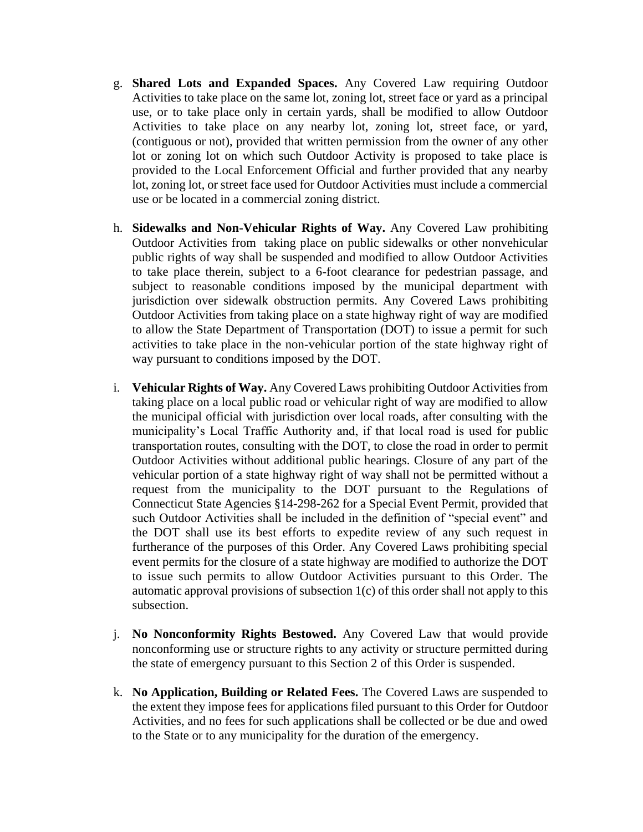- g. **Shared Lots and Expanded Spaces.** Any Covered Law requiring Outdoor Activities to take place on the same lot, zoning lot, street face or yard as a principal use, or to take place only in certain yards, shall be modified to allow Outdoor Activities to take place on any nearby lot, zoning lot, street face, or yard, (contiguous or not), provided that written permission from the owner of any other lot or zoning lot on which such Outdoor Activity is proposed to take place is provided to the Local Enforcement Official and further provided that any nearby lot, zoning lot, or street face used for Outdoor Activities must include a commercial use or be located in a commercial zoning district.
- h. **Sidewalks and Non-Vehicular Rights of Way.** Any Covered Law prohibiting Outdoor Activities from taking place on public sidewalks or other nonvehicular public rights of way shall be suspended and modified to allow Outdoor Activities to take place therein, subject to a 6-foot clearance for pedestrian passage, and subject to reasonable conditions imposed by the municipal department with jurisdiction over sidewalk obstruction permits. Any Covered Laws prohibiting Outdoor Activities from taking place on a state highway right of way are modified to allow the State Department of Transportation (DOT) to issue a permit for such activities to take place in the non-vehicular portion of the state highway right of way pursuant to conditions imposed by the DOT.
- i. **Vehicular Rights of Way.** Any Covered Laws prohibiting Outdoor Activities from taking place on a local public road or vehicular right of way are modified to allow the municipal official with jurisdiction over local roads, after consulting with the municipality's Local Traffic Authority and, if that local road is used for public transportation routes, consulting with the DOT, to close the road in order to permit Outdoor Activities without additional public hearings. Closure of any part of the vehicular portion of a state highway right of way shall not be permitted without a request from the municipality to the DOT pursuant to the Regulations of Connecticut State Agencies §14-298-262 for a Special Event Permit, provided that such Outdoor Activities shall be included in the definition of "special event" and the DOT shall use its best efforts to expedite review of any such request in furtherance of the purposes of this Order. Any Covered Laws prohibiting special event permits for the closure of a state highway are modified to authorize the DOT to issue such permits to allow Outdoor Activities pursuant to this Order. The automatic approval provisions of subsection 1(c) of this order shall not apply to this subsection.
- j. **No Nonconformity Rights Bestowed.** Any Covered Law that would provide nonconforming use or structure rights to any activity or structure permitted during the state of emergency pursuant to this Section 2 of this Order is suspended.
- k. **No Application, Building or Related Fees.** The Covered Laws are suspended to the extent they impose fees for applications filed pursuant to this Order for Outdoor Activities, and no fees for such applications shall be collected or be due and owed to the State or to any municipality for the duration of the emergency.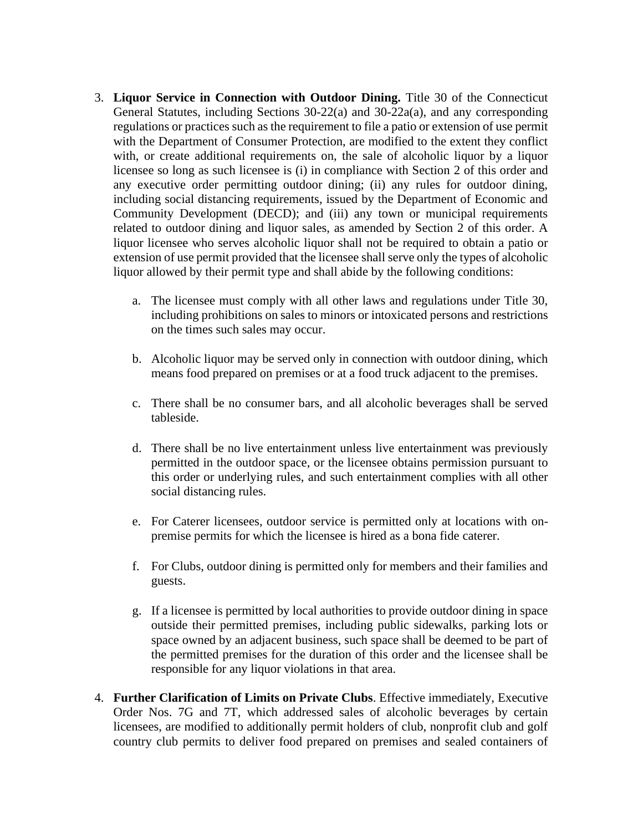- 3. **Liquor Service in Connection with Outdoor Dining.** Title 30 of the Connecticut General Statutes, including Sections 30-22(a) and 30-22a(a), and any corresponding regulations or practices such as the requirement to file a patio or extension of use permit with the Department of Consumer Protection, are modified to the extent they conflict with, or create additional requirements on, the sale of alcoholic liquor by a liquor licensee so long as such licensee is (i) in compliance with Section 2 of this order and any executive order permitting outdoor dining; (ii) any rules for outdoor dining, including social distancing requirements, issued by the Department of Economic and Community Development (DECD); and (iii) any town or municipal requirements related to outdoor dining and liquor sales, as amended by Section 2 of this order. A liquor licensee who serves alcoholic liquor shall not be required to obtain a patio or extension of use permit provided that the licensee shall serve only the types of alcoholic liquor allowed by their permit type and shall abide by the following conditions:
	- a. The licensee must comply with all other laws and regulations under Title 30, including prohibitions on sales to minors or intoxicated persons and restrictions on the times such sales may occur.
	- b. Alcoholic liquor may be served only in connection with outdoor dining, which means food prepared on premises or at a food truck adjacent to the premises.
	- c. There shall be no consumer bars, and all alcoholic beverages shall be served tableside.
	- d. There shall be no live entertainment unless live entertainment was previously permitted in the outdoor space, or the licensee obtains permission pursuant to this order or underlying rules, and such entertainment complies with all other social distancing rules.
	- e. For Caterer licensees, outdoor service is permitted only at locations with onpremise permits for which the licensee is hired as a bona fide caterer.
	- f. For Clubs, outdoor dining is permitted only for members and their families and guests.
	- g. If a licensee is permitted by local authorities to provide outdoor dining in space outside their permitted premises, including public sidewalks, parking lots or space owned by an adjacent business, such space shall be deemed to be part of the permitted premises for the duration of this order and the licensee shall be responsible for any liquor violations in that area.
- 4. **Further Clarification of Limits on Private Clubs**. Effective immediately, Executive Order Nos. 7G and 7T, which addressed sales of alcoholic beverages by certain licensees, are modified to additionally permit holders of club, nonprofit club and golf country club permits to deliver food prepared on premises and sealed containers of